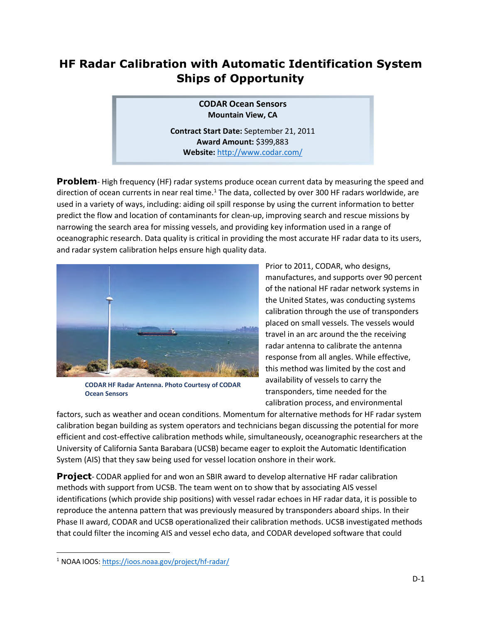# **HF Radar Calibration with Automatic Identification System Ships of Opportunity**

**CODAR Ocean Sensors Mountain View, CA** 

**Contract Start Date:** September 21, 2011 **Award Amount:** \$399,883 **Website:** http://www.codar.com/

**Problem**- High frequency (HF) radar systems produce ocean current data by measuring the speed and direction of ocean currents in near real time.<sup>1</sup> The data, collected by over 300 HF radars worldwide, are used in a variety of ways, including: aiding oil spill response by using the current information to better predict the flow and location of contaminants for clean-up, improving search and rescue missions by narrowing the search area for missing vessels, and providing key information used in a range of oceanographic research. Data quality is critical in providing the most accurate HF radar data to its users, and radar system calibration helps ensure high quality data.



**CODAR HF Radar Antenna. Photo Courtesy of CODAR Ocean Sensors** 

Prior to 2011, CODAR, who designs, manufactures, and supports over 90 percent of the national HF radar network systems in the United States, was conducting systems calibration through the use of transponders placed on small vessels. The vessels would travel in an arc around the the receiving radar antenna to calibrate the antenna response from all angles. While effective, this method was limited by the cost and availability of vessels to carry the transponders, time needed for the calibration process, and environmental

factors, such as weather and ocean conditions. Momentum for alternative methods for HF radar system calibration began building as system operators and technicians began discussing the potential for more efficient and cost-effective calibration methods while, simultaneously, oceanographic researchers at the University of California Santa Barabara (UCSB) became eager to exploit the Automatic Identification System (AIS) that they saw being used for vessel location onshore in their work.

**Project**- CODAR applied for and won an SBIR award to develop alternative HF radar calibration methods with support from UCSB. The team went on to show that by associating AIS vessel identifications (which provide ship positions) with vessel radar echoes in HF radar data, it is possible to reproduce the antenna pattern that was previously measured by transponders aboard ships. In their Phase II award, CODAR and UCSB operationalized their calibration methods. UCSB investigated methods that could filter the incoming AIS and vessel echo data, and CODAR developed software that could

<sup>&</sup>lt;sup>1</sup> NOAA IOOS: https://ioos.noaa.gov/project/hf-radar/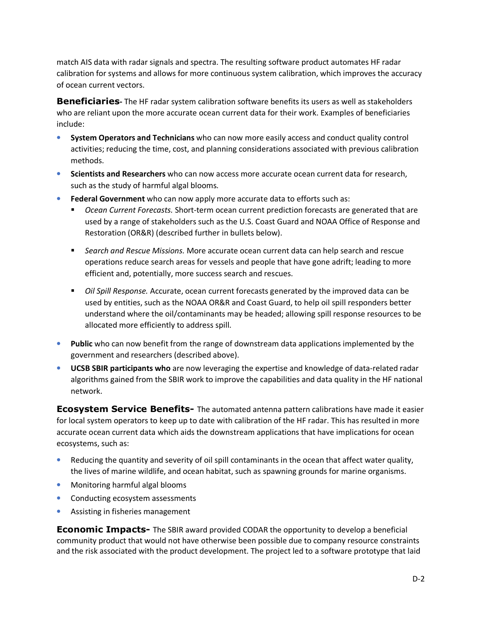match AIS data with radar signals and spectra. The resulting software product automates HF radar calibration for systems and allows for more continuous system calibration, which improves the accuracy of ocean current vectors.

**Beneficiaries-** The HF radar system calibration software benefits its users as well as stakeholders who are reliant upon the more accurate ocean current data for their work. Examples of beneficiaries include:

- **System Operators and Technicians** who can now more easily access and conduct quality control activities; reducing the time, cost, and planning considerations associated with previous calibration methods.
- **Scientists and Researchers** who can now access more accurate ocean current data for research, such as the study of harmful algal blooms.
- **Federal Government** who can now apply more accurate data to efforts such as:
	- *Ocean Current Forecasts.* Short-term ocean current prediction forecasts are generated that are used by a range of stakeholders such as the U.S. Coast Guard and NOAA Office of Response and Restoration (OR&R) (described further in bullets below).
	- *Search and Rescue Missions.* More accurate ocean current data can help search and rescue operations reduce search areas for vessels and people that have gone adrift; leading to more efficient and, potentially, more success search and rescues.
	- *Oil Spill Response.* Accurate, ocean current forecasts generated by the improved data can be used by entities, such as the NOAA OR&R and Coast Guard, to help oil spill responders better understand where the oil/contaminants may be headed; allowing spill response resources to be allocated more efficiently to address spill.
- **Public** who can now benefit from the range of downstream data applications implemented by the government and researchers (described above).
- **UCSB SBIR participants who** are now leveraging the expertise and knowledge of data-related radar algorithms gained from the SBIR work to improve the capabilities and data quality in the HF national network.

**Ecosystem Service Benefits-** The automated antenna pattern calibrations have made it easier for local system operators to keep up to date with calibration of the HF radar. This has resulted in more accurate ocean current data which aids the downstream applications that have implications for ocean ecosystems, such as:

- Reducing the quantity and severity of oil spill contaminants in the ocean that affect water quality, the lives of marine wildlife, and ocean habitat, such as spawning grounds for marine organisms.
- Monitoring harmful algal blooms
- Conducting ecosystem assessments
- Assisting in fisheries management

**Economic Impacts-** The SBIR award provided CODAR the opportunity to develop a beneficial community product that would not have otherwise been possible due to company resource constraints and the risk associated with the product development. The project led to a software prototype that laid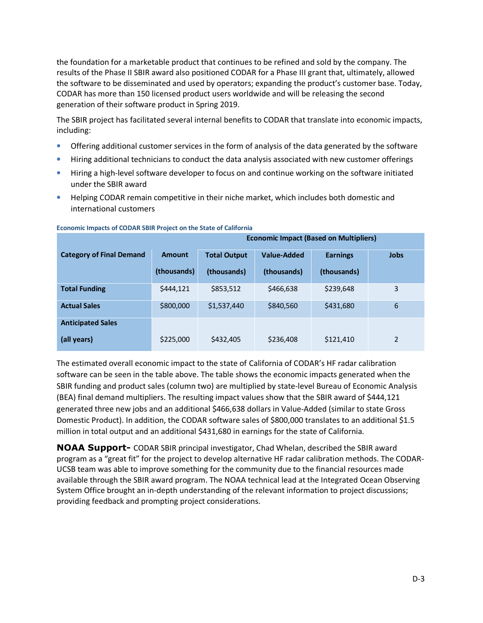the foundation for a marketable product that continues to be refined and sold by the company. The results of the Phase II SBIR award also positioned CODAR for a Phase III grant that, ultimately, allowed the software to be disseminated and used by operators; expanding the product's customer base. Today, CODAR has more than 150 licensed product users worldwide and will be releasing the second generation of their software product in Spring 2019.

The SBIR project has facilitated several internal benefits to CODAR that translate into economic impacts, including:

- Offering additional customer services in the form of analysis of the data generated by the software
- Hiring additional technicians to conduct the data analysis associated with new customer offerings
- Hiring a high-level software developer to focus on and continue working on the software initiated under the SBIR award
- Helping CODAR remain competitive in their niche market, which includes both domestic and international customers

|                                 | <b>Economic Impact (Based on Multipliers)</b> |                     |                    |                 |             |
|---------------------------------|-----------------------------------------------|---------------------|--------------------|-----------------|-------------|
| <b>Category of Final Demand</b> | <b>Amount</b>                                 | <b>Total Output</b> | <b>Value-Added</b> | <b>Earnings</b> | <b>Jobs</b> |
|                                 | (thousands)                                   | (thousands)         | (thousands)        | (thousands)     |             |
| <b>Total Funding</b>            | \$444,121                                     | \$853,512           | \$466,638          | \$239,648       | 3           |
| <b>Actual Sales</b>             | \$800,000                                     | \$1,537,440         | \$840,560          | \$431,680       | 6           |
| <b>Anticipated Sales</b>        |                                               |                     |                    |                 |             |
| (all years)                     | \$225,000                                     | \$432,405           | \$236,408          | \$121,410       | 2           |

#### **Economic Impacts of CODAR SBIR Project on the State of California**

The estimated overall economic impact to the state of California of CODAR's HF radar calibration software can be seen in the table above. The table shows the economic impacts generated when the SBIR funding and product sales (column two) are multiplied by state-level Bureau of Economic Analysis (BEA) final demand multipliers. The resulting impact values show that the SBIR award of \$444,121 generated three new jobs and an additional \$466,638 dollars in Value-Added (similar to state Gross Domestic Product). In addition, the CODAR software sales of \$800,000 translates to an additional \$1.5 million in total output and an additional \$431,680 in earnings for the state of California.

**NOAA Support-** CODAR SBIR principal investigator, Chad Whelan, described the SBIR award program as a "great fit" for the project to develop alternative HF radar calibration methods. The CODAR-UCSB team was able to improve something for the community due to the financial resources made available through the SBIR award program. The NOAA technical lead at the Integrated Ocean Observing System Office brought an in-depth understanding of the relevant information to project discussions; providing feedback and prompting project considerations.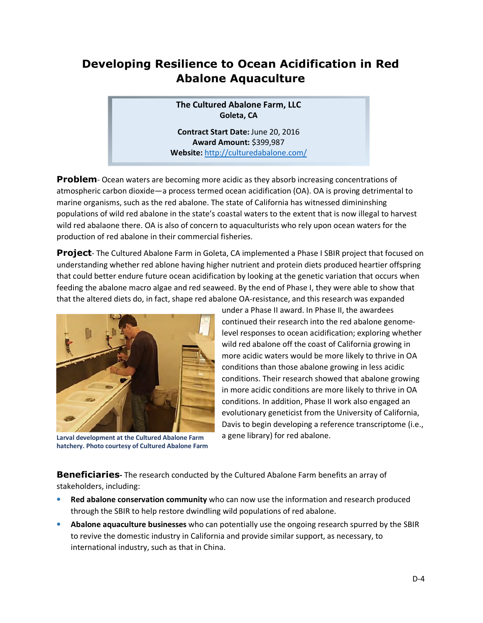## **Developing Resilience to Ocean Acidification in Red Abalone Aquaculture**

**The Cultured Abalone Farm, LLC Goleta, CA** 

**Contract Start Date:** June 20, 2016 **Award Amount:** \$399,987 **Website:** http://culturedabalone.com/

**Problem**- Ocean waters are becoming more acidic as they absorb increasing concentrations of atmospheric carbon dioxide—a process termed ocean acidification (OA). OA is proving detrimental to marine organisms, such as the red abalone. The state of California has witnessed dimininshing populations of wild red abalone in the state's coastal waters to the extent that is now illegal to harvest wild red abalaone there. OA is also of concern to aquaculturists who rely upon ocean waters for the production of red abalone in their commercial fisheries.

**Project**- The Cultured Abalone Farm in Goleta, CA implemented a Phase I SBIR project that focused on understanding whether red ablone having higher nutrient and protein diets produced heartier offspring that could better endure future ocean acidification by looking at the genetic variation that occurs when feeding the abalone macro algae and red seaweed. By the end of Phase I, they were able to show that that the altered diets do, in fact, shape red abalone OA-resistance, and this research was expanded



**Larval development at the Cultured Abalone Farm hatchery. Photo courtesy of Cultured Abalone Farm** 

under a Phase II award. In Phase II, the awardees continued their research into the red abalone genomelevel responses to ocean acidification; exploring whether wild red abalone off the coast of California growing in more acidic waters would be more likely to thrive in OA conditions than those abalone growing in less acidic conditions. Their research showed that abalone growing in more acidic conditions are more likely to thrive in OA conditions. In addition, Phase II work also engaged an evolutionary geneticist from the University of California, Davis to begin developing a reference transcriptome (i.e., a gene library) for red abalone.

**Beneficiaries-** The research conducted by the Cultured Abalone Farm benefits an array of stakeholders, including:

- **Red abalone conservation community** who can now use the information and research produced through the SBIR to help restore dwindling wild populations of red abalone.
- **Abalone aquaculture businesses** who can potentially use the ongoing research spurred by the SBIR to revive the domestic industry in California and provide similar support, as necessary, to international industry, such as that in China.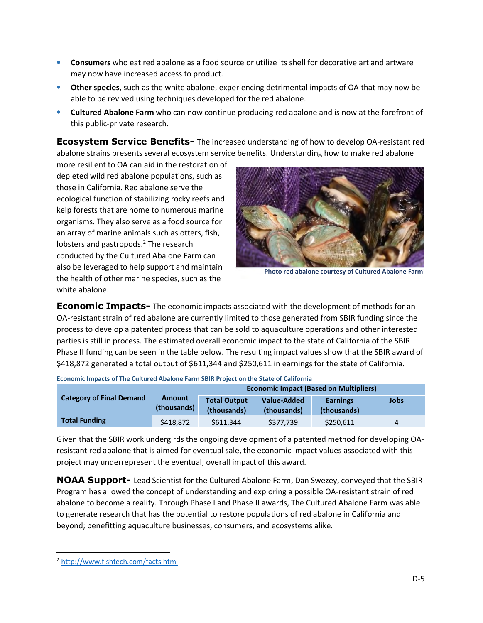- **Consumers** who eat red abalone as a food source or utilize its shell for decorative art and artware may now have increased access to product.
- **Other species**, such as the white abalone, experiencing detrimental impacts of OA that may now be able to be revived using techniques developed for the red abalone.
- **Cultured Abalone Farm** who can now continue producing red abalone and is now at the forefront of this public-private research.

**Ecosystem Service Benefits-** The increased understanding of how to develop OA-resistant red abalone strains presents several ecosystem service benefits. Understanding how to make red abalone

more resilient to OA can aid in the restoration of depleted wild red abalone populations, such as those in California. Red abalone serve the ecological function of stabilizing rocky reefs and kelp forests that are home to numerous marine organisms. They also serve as a food source for an array of marine animals such as otters, fish, lobsters and gastropods.<sup>2</sup> The research conducted by the Cultured Abalone Farm can also be leveraged to help support and maintain the health of other marine species, such as the white abalone.



**Photo red abalone courtesy of Cultured Abalone Farm**

**Economic Impacts-** The economic impacts associated with the development of methods for an OA-resistant strain of red abalone are currently limited to those generated from SBIR funding since the process to develop a patented process that can be sold to aquaculture operations and other interested parties is still in process. The estimated overall economic impact to the state of California of the SBIR Phase II funding can be seen in the table below. The resulting impact values show that the SBIR award of \$418,872 generated a total output of \$611,344 and \$250,611 in earnings for the state of California.

|                                 | <b>Economic Impact (Based on Multipliers)</b> |                                    |                                   |                                |      |
|---------------------------------|-----------------------------------------------|------------------------------------|-----------------------------------|--------------------------------|------|
| <b>Category of Final Demand</b> | <b>Amount</b><br>(thousands)                  | <b>Total Output</b><br>(thousands) | <b>Value-Added</b><br>(thousands) | <b>Earnings</b><br>(thousands) | Jobs |
| <b>Total Funding</b>            | \$418.872                                     | \$611.344                          | \$377.739                         | \$250.611                      |      |

**Economic Impacts of The Cultured Abalone Farm SBIR Project on the State of California** 

Given that the SBIR work undergirds the ongoing development of a patented method for developing OAresistant red abalone that is aimed for eventual sale, the economic impact values associated with this project may underrepresent the eventual, overall impact of this award.

**NOAA Support-** Lead Scientist for the Cultured Abalone Farm, Dan Swezey, conveyed that the SBIR Program has allowed the concept of understanding and exploring a possible OA-resistant strain of red abalone to become a reality. Through Phase I and Phase II awards, The Cultured Abalone Farm was able to generate research that has the potential to restore populations of red abalone in California and beyond; benefitting aquaculture businesses, consumers, and ecosystems alike.

<sup>2</sup> http://www.fishtech.com/facts.html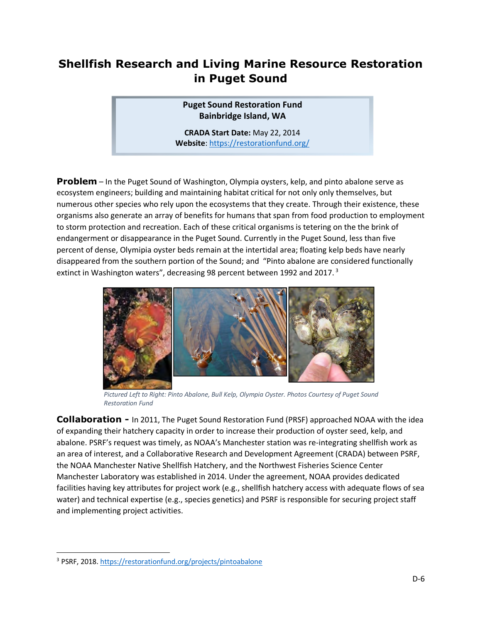### **Shellfish Research and Living Marine Resource Restoration in Puget Sound**

**Puget Sound Restoration Fund Bainbridge Island, WA** 

**CRADA Start Date:** May 22, 2014 **Website**: https://restorationfund.org/

**Problem** – In the Puget Sound of Washington, Olympia oysters, kelp, and pinto abalone serve as ecosystem engineers; building and maintaining habitat critical for not only only themselves, but numerous other species who rely upon the ecosystems that they create. Through their existence, these organisms also generate an array of benefits for humans that span from food production to employment to storm protection and recreation. Each of these critical organisms is tetering on the the brink of endangerment or disappearance in the Puget Sound. Currently in the Puget Sound, less than five percent of dense, Olymipia oyster beds remain at the intertidal area; floating kelp beds have nearly disappeared from the southern portion of the Sound; and "Pinto abalone are considered functionally extinct in Washington waters", decreasing 98 percent between 1992 and 2017.<sup>3</sup>



*Pictured Left to Right: Pinto Abalone, Bull Kelp, Olympia Oyster. Photos Courtesy of Puget Sound Restoration Fund* 

**Collaboration -** In 2011, The Puget Sound Restoration Fund (PRSF) approached NOAA with the idea of expanding their hatchery capacity in order to increase their production of oyster seed, kelp, and abalone. PSRF's request was timely, as NOAA's Manchester station was re-integrating shellfish work as an area of interest, and a Collaborative Research and Development Agreement (CRADA) between PSRF, the NOAA Manchester Native Shellfish Hatchery, and the Northwest Fisheries Science Center Manchester Laboratory was established in 2014. Under the agreement, NOAA provides dedicated facilities having key attributes for project work (e.g., shellfish hatchery access with adequate flows of sea water) and technical expertise (e.g., species genetics) and PSRF is responsible for securing project staff and implementing project activities.

<sup>&</sup>lt;sup>3</sup> PSRF, 2018. https://restorationfund.org/projects/pintoabalone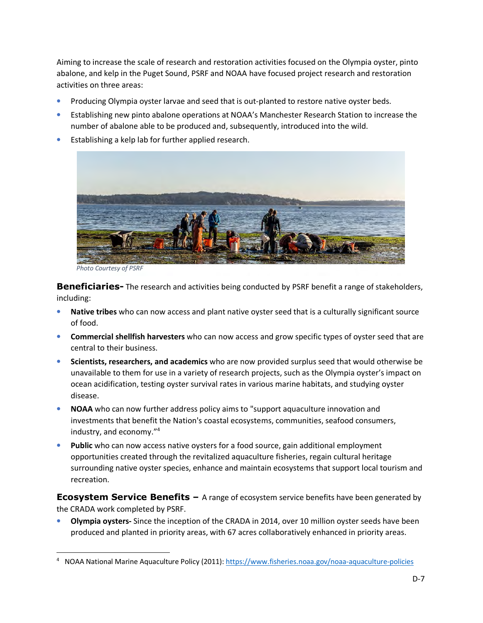Aiming to increase the scale of research and restoration activities focused on the Olympia oyster, pinto abalone, and kelp in the Puget Sound, PSRF and NOAA have focused project research and restoration activities on three areas:

- Producing Olympia oyster larvae and seed that is out-planted to restore native oyster beds.
- Establishing new pinto abalone operations at NOAA's Manchester Research Station to increase the number of abalone able to be produced and, subsequently, introduced into the wild.
- Establishing a kelp lab for further applied research.



*Photo Courtesy of PSRF* 

**Beneficiaries-** The research and activities being conducted by PSRF benefit a range of stakeholders, including:

- **Native tribes** who can now access and plant native oyster seed that is a culturally significant source of food.
- **Commercial shellfish harvesters** who can now access and grow specific types of oyster seed that are central to their business.
- **Scientists, researchers, and academics** who are now provided surplus seed that would otherwise be unavailable to them for use in a variety of research projects, such as the Olympia oyster's impact on ocean acidification, testing oyster survival rates in various marine habitats, and studying oyster disease.
- **NOAA** who can now further address policy aims to "support aquaculture innovation and investments that benefit the Nation's coastal ecosystems, communities, seafood consumers, industry, and economy."<sup>4</sup>
- **Public** who can now access native oysters for a food source, gain additional employment opportunities created through the revitalized aquaculture fisheries, regain cultural heritage surrounding native oyster species, enhance and maintain ecosystems that support local tourism and recreation.

**Ecosystem Service Benefits –** A range of ecosystem service benefits have been generated by the CRADA work completed by PSRF.

• **Olympia oysters-** Since the inception of the CRADA in 2014, over 10 million oyster seeds have been produced and planted in priority areas, with 67 acres collaboratively enhanced in priority areas.

<sup>4</sup> NOAA National Marine Aquaculture Policy (2011): https://www.fisheries.noaa.gov/noaa-aquaculture-policies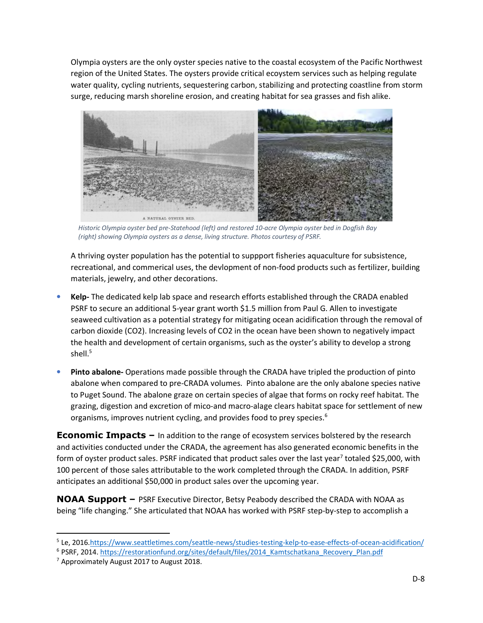Olympia oysters are the only oyster species native to the coastal ecosystem of the Pacific Northwest region of the United States. The oysters provide critical ecoystem services such as helping regulate water quality, cycling nutrients, sequestering carbon, stabilizing and protecting coastline from storm surge, reducing marsh shoreline erosion, and creating habitat for sea grasses and fish alike.



*Historic Olympia oyster bed pre-Statehood (left) and restored 10-acre Olympia oyster bed in Dogfish Bay (right) showing Olympia oysters as a dense, living structure. Photos courtesy of PSRF.*

A thriving oyster population has the potential to suppport fisheries aquaculture for subsistence, recreational, and commerical uses, the devlopment of non-food products such as fertilizer, building materials, jewelry, and other decorations.

- **Kelp-** The dedicated kelp lab space and research efforts established through the CRADA enabled PSRF to secure an additional 5-year grant worth \$1.5 million from Paul G. Allen to investigate seaweed cultivation as a potential strategy for mitigating ocean acidification through the removal of carbon dioxide (CO2). Increasing levels of CO2 in the ocean have been shown to negatively impact the health and development of certain organisms, such as the oyster's ability to develop a strong shell. $^5$
- **Pinto abalone-** Operations made possible through the CRADA have tripled the production of pinto abalone when compared to pre-CRADA volumes. Pinto abalone are the only abalone species native to Puget Sound. The abalone graze on certain species of algae that forms on rocky reef habitat. The grazing, digestion and excretion of mico-and macro-alage clears habitat space for settlement of new organisms, improves nutrient cycling, and provides food to prey species.<sup>6</sup>

**Economic Impacts –** In addition to the range of ecosystem services bolstered by the research and activities conducted under the CRADA, the agreement has also generated economic benefits in the form of oyster product sales. PSRF indicated that product sales over the last year<sup>7</sup> totaled \$25,000, with 100 percent of those sales attributable to the work completed through the CRADA. In addition, PSRF anticipates an additional \$50,000 in product sales over the upcoming year.

**NOAA Support –** PSRF Executive Director, Betsy Peabody described the CRADA with NOAA as being "life changing." She articulated that NOAA has worked with PSRF step-by-step to accomplish a

l

<sup>&</sup>lt;sup>5</sup> Le, 2016.https://www.seattletimes.com/seattle-news/studies-testing-kelp-to-ease-effects-of-ocean-acidification/

<sup>&</sup>lt;sup>6</sup> PSRF, 2014. https://restorationfund.org/sites/default/files/2014 Kamtschatkana Recovery Plan.pdf

<sup>&</sup>lt;sup>7</sup> Approximately August 2017 to August 2018.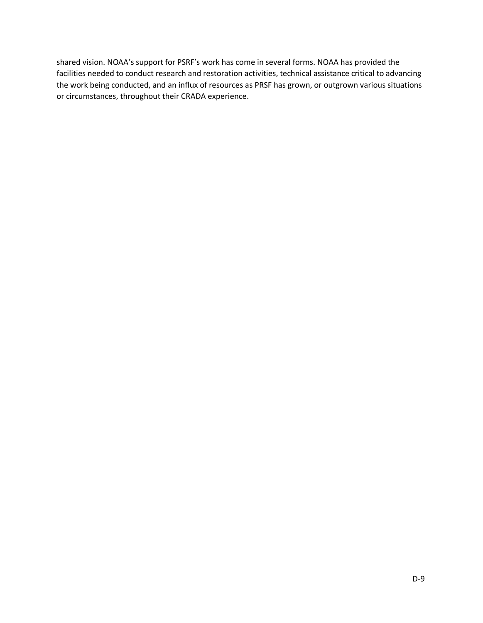shared vision. NOAA's support for PSRF's work has come in several forms. NOAA has provided the facilities needed to conduct research and restoration activities, technical assistance critical to advancing the work being conducted, and an influx of resources as PRSF has grown, or outgrown various situations or circumstances, throughout their CRADA experience.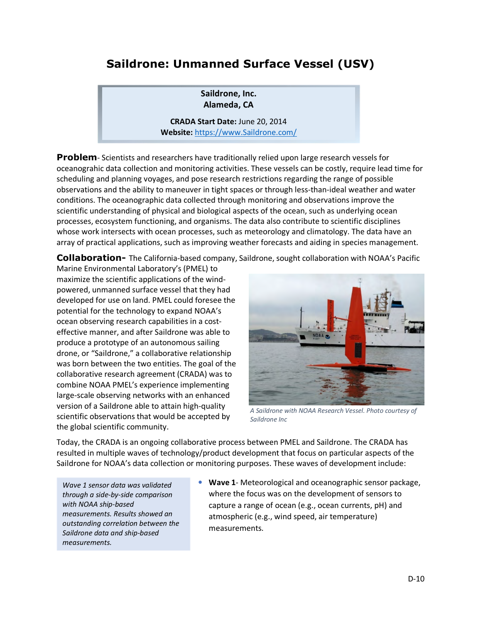## **Saildrone: Unmanned Surface Vessel (USV)**

**Saildrone, Inc. Alameda, CA** 

**CRADA Start Date:** June 20, 2014 **Website:** https://www.Saildrone.com/

**Problem**- Scientists and researchers have traditionally relied upon large research vessels for oceanograhic data collection and monitoring activities. These vessels can be costly, require lead time for scheduling and planning voyages, and pose research restrictions regarding the range of possible observations and the ability to maneuver in tight spaces or through less-than-ideal weather and water conditions. The oceanographic data collected through monitoring and observations improve the scientific understanding of physical and biological aspects of the ocean, such as underlying ocean processes, ecosystem functioning, and organisms. The data also contribute to scientific disciplines whose work intersects with ocean processes, such as meteorology and climatology. The data have an array of practical applications, such as improving weather forecasts and aiding in species management.

**Collaboration-** The California-based company, Saildrone, sought collaboration with NOAA's Pacific

Marine Environmental Laboratory's (PMEL) to maximize the scientific applications of the windpowered, unmanned surface vessel that they had developed for use on land. PMEL could foresee the potential for the technology to expand NOAA's ocean observing research capabilities in a costeffective manner, and after Saildrone was able to produce a prototype of an autonomous sailing drone, or "Saildrone," a collaborative relationship was born between the two entities. The goal of the collaborative research agreement (CRADA) was to combine NOAA PMEL's experience implementing large-scale observing networks with an enhanced version of a Saildrone able to attain high-quality scientific observations that would be accepted by the global scientific community.



*A Saildrone with NOAA Research Vessel. Photo courtesy of Saildrone Inc* 

Today, the CRADA is an ongoing collaborative process between PMEL and Saildrone. The CRADA has resulted in multiple waves of technology/product development that focus on particular aspects of the Saildrone for NOAA's data collection or monitoring purposes. These waves of development include:

*Wave 1 sensor data was validated through a side-by-side comparison with NOAA ship-based measurements. Results showed an outstanding correlation between the Saildrone data and ship-based measurements.* 

• **Wave 1**- Meteorological and oceanographic sensor package, where the focus was on the development of sensors to capture a range of ocean (e.g., ocean currents, pH) and atmospheric (e.g., wind speed, air temperature) measurements.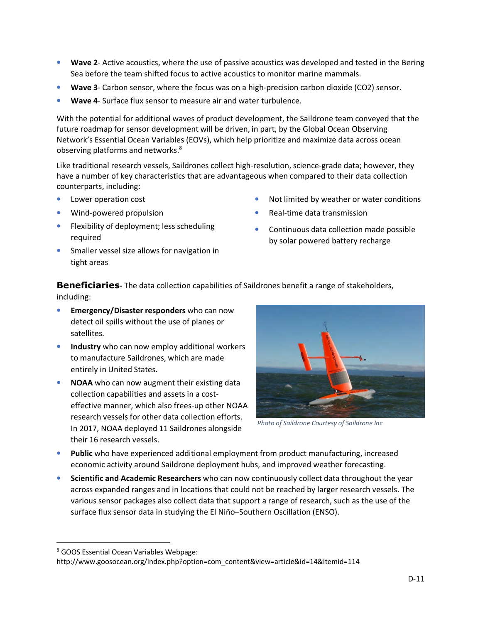- **Wave 2** Active acoustics, where the use of passive acoustics was developed and tested in the Bering Sea before the team shifted focus to active acoustics to monitor marine mammals.
- Wave 3- Carbon sensor, where the focus was on a high-precision carbon dioxide (CO2) sensor.
- **Wave 4** Surface flux sensor to measure air and water turbulence.

With the potential for additional waves of product development, the Saildrone team conveyed that the future roadmap for sensor development will be driven, in part, by the Global Ocean Observing Network's Essential Ocean Variables (EOVs), which help prioritize and maximize data across ocean observing platforms and networks.<sup>8</sup>

Like traditional research vessels, Saildrones collect high-resolution, science-grade data; however, they have a number of key characteristics that are advantageous when compared to their data collection counterparts, including:

- Lower operation cost
- Wind-powered propulsion
- Flexibility of deployment; less scheduling required
- Smaller vessel size allows for navigation in tight areas
- Not limited by weather or water conditions
- Real-time data transmission
- Continuous data collection made possible by solar powered battery recharge

**Beneficiaries-** The data collection capabilities of Saildrones benefit a range of stakeholders, including:

- **Emergency/Disaster responders** who can now detect oil spills without the use of planes or satellites.
- **Industry** who can now employ additional workers to manufacture Saildrones, which are made entirely in United States.
- **NOAA** who can now augment their existing data collection capabilities and assets in a costeffective manner, which also frees-up other NOAA research vessels for other data collection efforts. In 2017, NOAA deployed 11 Saildrones alongside their 16 research vessels.



*Photo of Saildrone Courtesy of Saildrone Inc* 

- **Public** who have experienced additional employment from product manufacturing, increased economic activity around Saildrone deployment hubs, and improved weather forecasting.
- **Scientific and Academic Researchers** who can now continuously collect data throughout the year across expanded ranges and in locations that could not be reached by larger research vessels. The various sensor packages also collect data that support a range of research, such as the use of the surface flux sensor data in studying the El Niño–Southern Oscillation (ENSO).

l

http://www.goosocean.org/index.php?option=com\_content&view=article&id=14&Itemid=114

<sup>8</sup> GOOS Essential Ocean Variables Webpage: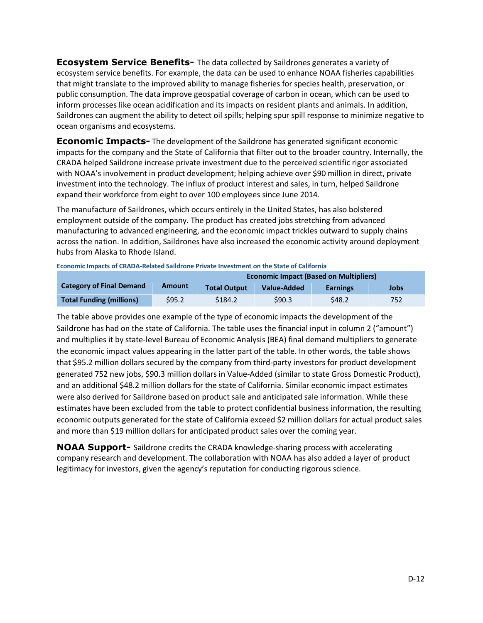**Ecosystem Service Benefits-** The data collected by Saildrones generates a variety of ecosystem service benefits. For example, the data can be used to enhance NOAA fisheries capabilities that might translate to the improved ability to manage fisheries for species health, preservation, or public consumption. The data improve geospatial coverage of carbon in ocean, which can be used to inform processes like ocean acidification and its impacts on resident plants and animals. In addition, Saildrones can augment the ability to detect oil spills; helping spur spill response to minimize negative to ocean organisms and ecosystems.

**Economic Impacts-** The development of the Saildrone has generated significant economic impacts for the company and the State of California that filter out to the broader country. Internally, the CRADA helped Saildrone increase private investment due to the perceived scientific rigor associated with NOAA's involvement in product development; helping achieve over \$90 million in direct, private investment into the technology. The influx of product interest and sales, in turn, helped Saildrone expand their workforce from eight to over 100 employees since June 2014.

The manufacture of Saildrones, which occurs entirely in the United States, has also bolstered employment outside of the company. The product has created jobs stretching from advanced manufacturing to advanced engineering, and the economic impact trickles outward to supply chains across the nation. In addition, Saildrones have also increased the economic activity around deployment hubs from Alaska to Rhode Island.

| <b>Economic Impact (Based on Multipliers)</b> |               |                     |             |                 |      |
|-----------------------------------------------|---------------|---------------------|-------------|-----------------|------|
| <b>Category of Final Demand</b>               | <b>Amount</b> | <b>Total Output</b> | Value-Added | <b>Earnings</b> | Jobs |
| <b>Total Funding (millions)</b>               | \$95.2        | \$184.2             | \$90.3      | S48.2           | 752  |

**Economic Impacts of CRADA-Related Saildrone Private Investment on the State of California** 

The table above provides one example of the type of economic impacts the development of the Saildrone has had on the state of California. The table uses the financial input in column 2 ("amount") and multiplies it by state-level Bureau of Economic Analysis (BEA) final demand multipliers to generate the economic impact values appearing in the latter part of the table. In other words, the table shows that \$95.2 million dollars secured by the company from third-party investors for product development generated 752 new jobs, \$90.3 million dollars in Value-Added (similar to state Gross Domestic Product), and an additional \$48.2 million dollars for the state of California. Similar economic impact estimates were also derived for Saildrone based on product sale and anticipated sale information. While these estimates have been excluded from the table to protect confidential business information, the resulting economic outputs generated for the state of California exceed \$2 million dollars for actual product sales and more than \$19 million dollars for anticipated product sales over the coming year.

**NOAA Support-** Saildrone credits the CRADA knowledge-sharing process with accelerating company research and development. The collaboration with NOAA has also added a layer of product legitimacy for investors, given the agency's reputation for conducting rigorous science.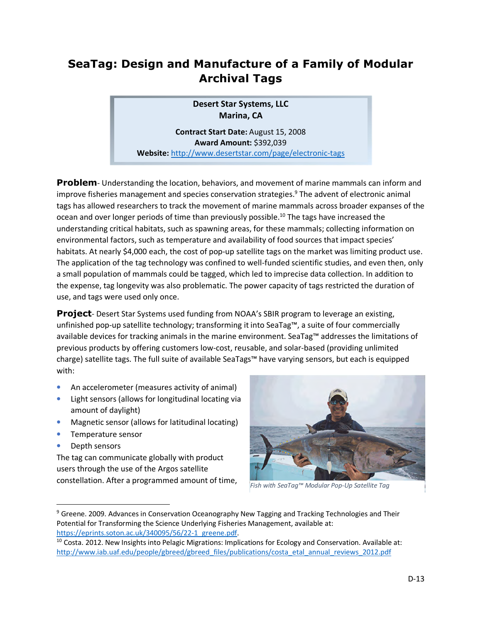## **SeaTag: Design and Manufacture of a Family of Modular Archival Tags**

**Desert Star Systems, LLC Marina, CA** 

**Contract Start Date:** August 15, 2008 **Award Amount:** \$392,039

**Website:** http://www.desertstar.com/page/electronic-tags

**Problem**- Understanding the location, behaviors, and movement of marine mammals can inform and improve fisheries management and species conservation strategies.<sup>9</sup> The advent of electronic animal tags has allowed researchers to track the movement of marine mammals across broader expanses of the ocean and over longer periods of time than previously possible.<sup>10</sup> The tags have increased the understanding critical habitats, such as spawning areas, for these mammals; collecting information on environmental factors, such as temperature and availability of food sources that impact species' habitats. At nearly \$4,000 each, the cost of pop-up satellite tags on the market was limiting product use. The application of the tag technology was confined to well-funded scientific studies, and even then, only a small population of mammals could be tagged, which led to imprecise data collection. In addition to the expense, tag longevity was also problematic. The power capacity of tags restricted the duration of use, and tags were used only once.

**Project**- Desert Star Systems used funding from NOAA's SBIR program to leverage an existing, unfinished pop-up satellite technology; transforming it into SeaTag™, a suite of four commercially available devices for tracking animals in the marine environment. SeaTag™ addresses the limitations of previous products by offering customers low-cost, reusable, and solar-based (providing unlimited charge) satellite tags. The full suite of available SeaTags™ have varying sensors, but each is equipped with:

- An accelerometer (measures activity of animal)
- Light sensors (allows for longitudinal locating via amount of daylight)
- Magnetic sensor (allows for latitudinal locating)
- Temperature sensor
- Depth sensors

l

The tag can communicate globally with product users through the use of the Argos satellite constellation. After a programmed amount of time,



*Fish with SeaTag™ Modular Pop-Up Satellite Tag* 

<sup>&</sup>lt;sup>9</sup> Greene. 2009. Advances in Conservation Oceanography New Tagging and Tracking Technologies and Their Potential for Transforming the Science Underlying Fisheries Management, available at: https://eprints.soton.ac.uk/340095/56/22-1\_greene.pdf.

<sup>&</sup>lt;sup>10</sup> Costa. 2012. New Insights into Pelagic Migrations: Implications for Ecology and Conservation. Available at: http://www.iab.uaf.edu/people/gbreed/gbreed\_files/publications/costa\_etal\_annual\_reviews\_2012.pdf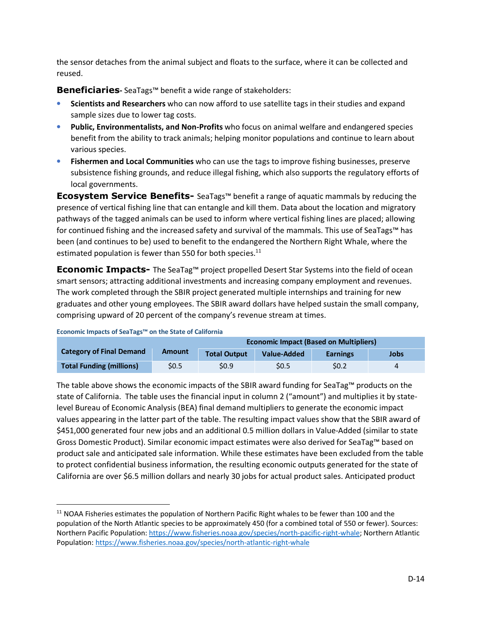the sensor detaches from the animal subject and floats to the surface, where it can be collected and reused.

**Beneficiaries-** SeaTags™ benefit a wide range of stakeholders:

- **Scientists and Researchers** who can now afford to use satellite tags in their studies and expand sample sizes due to lower tag costs.
- **Public, Environmentalists, and Non-Profits** who focus on animal welfare and endangered species benefit from the ability to track animals; helping monitor populations and continue to learn about various species.
- **Fishermen and Local Communities** who can use the tags to improve fishing businesses, preserve subsistence fishing grounds, and reduce illegal fishing, which also supports the regulatory efforts of local governments.

**Ecosystem Service Benefits-** SeaTags™ benefit a range of aquatic mammals by reducing the presence of vertical fishing line that can entangle and kill them. Data about the location and migratory pathways of the tagged animals can be used to inform where vertical fishing lines are placed; allowing for continued fishing and the increased safety and survival of the mammals. This use of SeaTags™ has been (and continues to be) used to benefit to the endangered the Northern Right Whale, where the estimated population is fewer than 550 for both species. $^{11}$ 

**Economic Impacts-** The SeaTag™ project propelled Desert Star Systems into the field of ocean smart sensors; attracting additional investments and increasing company employment and revenues. The work completed through the SBIR project generated multiple internships and training for new graduates and other young employees. The SBIR award dollars have helped sustain the small company, comprising upward of 20 percent of the company's revenue stream at times.

**Economic Impacts of SeaTags™ on the State of California** 

l

|                                 |        | <b>Economic Impact (Based on Multipliers)</b> |             |                 |      |
|---------------------------------|--------|-----------------------------------------------|-------------|-----------------|------|
| <b>Category of Final Demand</b> | Amount | <b>Total Output</b>                           | Value-Added | <b>Earnings</b> | Jobs |
| <b>Total Funding (millions)</b> | \$0.5  | \$0.9                                         | <b>SO.5</b> | S0.2            |      |

The table above shows the economic impacts of the SBIR award funding for SeaTag™ products on the state of California. The table uses the financial input in column 2 ("amount") and multiplies it by statelevel Bureau of Economic Analysis (BEA) final demand multipliers to generate the economic impact values appearing in the latter part of the table. The resulting impact values show that the SBIR award of \$451,000 generated four new jobs and an additional 0.5 million dollars in Value-Added (similar to state Gross Domestic Product). Similar economic impact estimates were also derived for SeaTag™ based on product sale and anticipated sale information. While these estimates have been excluded from the table to protect confidential business information, the resulting economic outputs generated for the state of California are over \$6.5 million dollars and nearly 30 jobs for actual product sales. Anticipated product

<sup>&</sup>lt;sup>11</sup> NOAA Fisheries estimates the population of Northern Pacific Right whales to be fewer than 100 and the population of the North Atlantic species to be approximately 450 (for a combined total of 550 or fewer). Sources: Northern Pacific Population: https://www.fisheries.noaa.gov/species/north-pacific-right-whale; Northern Atlantic Population: https://www.fisheries.noaa.gov/species/north-atlantic-right-whale